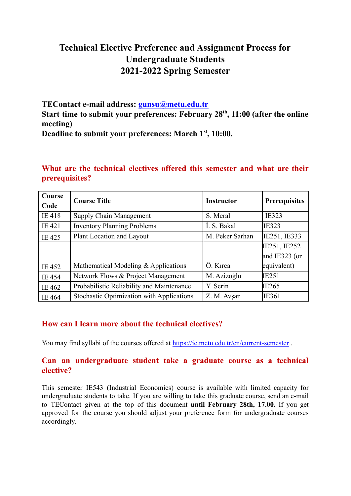# **Technical Elective Preference and Assignment Process for Undergraduate Students 2021-2022 Spring Semester**

**TEContact e-mail address: [gunsu@metu.edu.tr](mailto:gunsu@metu.edu.tr) Start time to submit your preferences: February 28 th , 11:00 (after the online meeting) Deadline to submit your preferences: March 1 st , 10:00.**

| Course | <b>Course Title</b>                              | <b>Instructor</b> | <b>Prerequisites</b> |
|--------|--------------------------------------------------|-------------------|----------------------|
| Code   |                                                  |                   |                      |
| IE 418 | Supply Chain Management                          | S. Meral          | <b>IE323</b>         |
| IE 421 | <b>Inventory Planning Problems</b>               | I. S. Bakal       | <b>IE323</b>         |
| IE 425 | Plant Location and Layout                        | M. Peker Sarhan   | IE251, IE333         |
|        |                                                  |                   | IE251, IE252         |
|        |                                                  |                   | and IE323 (or        |
| IE 452 | Mathematical Modeling & Applications             | Ö. Kırca          | equivalent)          |
| IE 454 | Network Flows & Project Management               | M. Azizoğlu       | IE251                |
| IE 462 | Probabilistic Reliability and Maintenance        | Y. Serin          | IE265                |
| IE 464 | <b>Stochastic Optimization with Applications</b> | Z. M. Avşar       | IE361                |

## **What are the technical electives offered this semester and what are their prerequisites?**

### **How can I learn more about the technical electives?**

You may find syllabi of the courses offered at <https://ie.metu.edu.tr/en/current-semester>.

#### **Can an undergraduate student take a graduate course as a technical elective?**

This semester IE543 (Industrial Economics) course is available with limited capacity for undergraduate students to take. If you are willing to take this graduate course, send an e-mail to TEContact given at the top of this document **until February 28th, 17.00.** If you get approved for the course you should adjust your preference form for undergraduate courses accordingly.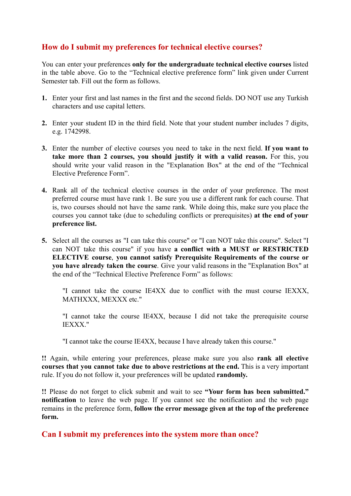## **How do I submit my preferences for technical elective courses?**

You can enter your preferences **only for the undergraduate technical elective courses** listed in the table above. Go to the "Technical elective preference form" link given under Current Semester tab. Fill out the form as follows.

- **1.** Enter your first and last names in the first and the second fields. DO NOT use any Turkish characters and use capital letters.
- **2.** Enter your student ID in the third field. Note that your student number includes 7 digits, e.g. 1742998.
- **3.** Enter the number of elective courses you need to take in the next field. **If you want to take more than 2 courses, you should justify it with a valid reason.** For this, you should write your valid reason in the "Explanation Box" at the end of the "Technical Elective Preference Form".
- **4.** Rank all of the technical elective courses in the order of your preference. The most preferred course must have rank 1. Be sure you use a different rank for each course. That is, two courses should not have the same rank. While doing this, make sure you place the courses you cannot take (due to scheduling conflicts or prerequisites) **at the end of your preference list.**
- **5.** Select all the courses as "I can take this course" or "I can NOT take this course". Select "I can NOT take this course" if you have **a conflict with a MUST or RESTRICTED ELECTIVE course**, **you cannot satisfy Prerequisite Requirements of the course or you have already taken the course**. Give your valid reasons in the "Explanation Box" at the end of the "Technical Elective Preference Form" as follows:

"I cannot take the course IE4XX due to conflict with the must course IEXXX, MATHXXX, MEXXX etc."

"I cannot take the course IE4XX, because I did not take the prerequisite course IEXXX."

"I cannot take the course IE4XX, because I have already taken this course."

**!!** Again, while entering your preferences, please make sure you also **rank all elective courses that you cannot take due to above restrictions at the end.** This is a very important rule. If you do not follow it, your preferences will be updated **randomly.**

**!!** Please do not forget to click submit and wait to see **"Your form has been submitted." notification** to leave the web page. If you cannot see the notification and the web page remains in the preference form, **follow the error message given at the top of the preference form.**

**Can I submit my preferences into the system more than once?**